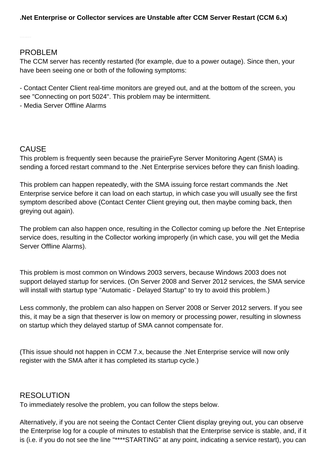## PROBLEM

The CCM server has recently restarted (for example, due to a power outage). Since then, your have been seeing one or both of the following symptoms:

- Contact Center Client real-time monitors are greyed out, and at the bottom of the screen, you see "Connecting on port 5024". This problem may be intermittent.

- Media Server Offline Alarms

## CAUSE

This problem is frequently seen because the prairieFyre Server Monitoring Agent (SMA) is sending a forced restart command to the .Net Enterprise services before they can finish loading.

This problem can happen repeatedly, with the SMA issuing force restart commands the .Net Enterprise service before it can load on each startup, in which case you will usually see the first symptom described above (Contact Center Client greying out, then maybe coming back, then greying out again).

The problem can also happen once, resulting in the Collector coming up before the .Net Enteprise service does, resulting in the Collector working improperly (in which case, you will get the Media Server Offline Alarms).

This problem is most common on Windows 2003 servers, because Windows 2003 does not support delayed startup for services. (On Server 2008 and Server 2012 services, the SMA service will install with startup type "Automatic - Delayed Startup" to try to avoid this problem.)

Less commonly, the problem can also happen on Server 2008 or Server 2012 servers. If you see this, it may be a sign that theserver is low on memory or processing power, resulting in slowness on startup which they delayed startup of SMA cannot compensate for.

(This issue should not happen in CCM 7.x, because the .Net Enterprise service will now only register with the SMA after it has completed its startup cycle.)

## RESOLUTION

To immediately resolve the problem, you can follow the steps below.

Alternatively, if you are not seeing the Contact Center Client display greying out, you can observe the Enterprise log for a couple of minutes to establish that the Enterprise service is stable, and, if it is (i.e. if you do not see the line "\*\*\*\*STARTING" at any point, indicating a service restart), you can